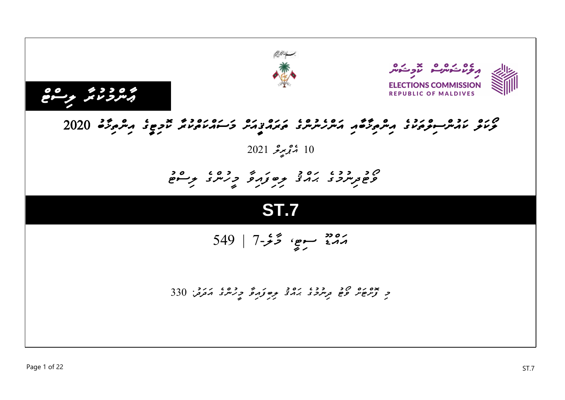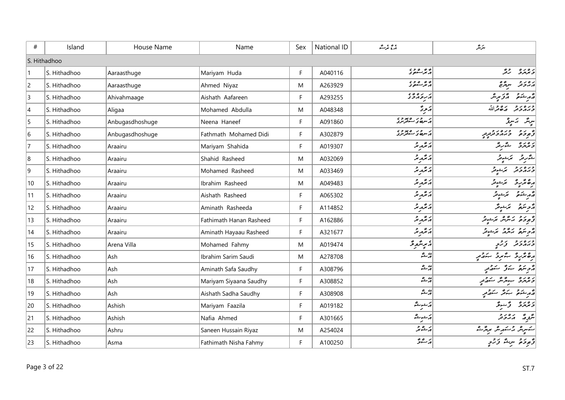| #                | Island       | House Name      | Name                    | Sex       | National ID | ، ه ، ره<br>مربح بمرت            | يترمثر                         |
|------------------|--------------|-----------------|-------------------------|-----------|-------------|----------------------------------|--------------------------------|
|                  | S. Hithadhoo |                 |                         |           |             |                                  |                                |
|                  | S. Hithadhoo | Aaraasthuge     | Mariyam Huda            | F         | A040116     | ږ په ده د ،<br>د تر سوه د        | رژگر<br>ر ه ر ه                |
| $\overline{c}$   | S. Hithadhoo | Aaraasthuge     | Ahmed Niyaz             | M         | A263929     | ږ په ده د ،<br>د تر سوه د        | پر ۱۵ ر د<br>سرپره<br>سرچر     |
| $\overline{3}$   | S. Hithadhoo | Ahivahmaage     | Aishath Aafareen        | F         | A293255     | أورءه وه                         | أە مەن ئىق ئور بېرىش           |
| 4                | S. Hithadhoo | Aligaa          | Mohamed Abdulla         | M         | A048348     | بزمزة                            | وره رو ده دالله                |
| 5                | S. Hithadhoo | Anbugasdhoshuge | Neena Haneef            | F         | A091860     | ر<br>پرسرچي کشورسري              | سرینگ   برسرو<br> -            |
| $\sqrt{6}$       | S. Hithadhoo | Anbugasdhoshuge | Fathmath Mohamed Didi   | F         | A302879     | ر سرچ ر ه پو د پ<br>پرسرچي سسترس | وحدد ورور وردير                |
| $\overline{7}$   | S. Hithadhoo | Araairu         | Mariyam Shahida         | F         | A019307     | مەئىرىم                          | و مرور شمر شمر می              |
| 8                | S. Hithadhoo | Araairu         | Shahid Rasheed          | M         | A032069     | برځه بخه                         | لمشررة مرسوقر                  |
| $\boldsymbol{9}$ | S. Hithadhoo | Araairu         | Mohamed Rasheed         | ${\sf M}$ | A033469     | ارتجرمر                          | ورەرو كەنبەتر                  |
| 10               | S. Hithadhoo | Araairu         | Ibrahim Rasheed         | ${\sf M}$ | A049483     | برځه بخه                         | أرەنۇر ئىسىم                   |
| 11               | S. Hithadhoo | Araairu         | Aishath Rasheed         | F         | A065302     | ىر ئىز مەنتىر                    | أقهر مشكاتهم المحرمشوقر        |
| 12               | S. Hithadhoo | Araairu         | Aminath Rasheeda        | F         | A114852     | ىر ئىز مەنتىر                    | أأدوبتهم بمرشوش                |
| 13               | S. Hithadhoo | Araairu         | Fathimath Hanan Rasheed | F         | A162886     | ىر ئىز مەنتىر                    | و د د کرده کردون               |
| 14               | S. Hithadhoo | Araairu         | Aminath Hayaau Rasheed  | F         | A321677     | برځه بخه                         | ו ני ני ני לא היי              |
| 15               | S. Hithadhoo | Arena Villa     | Mohamed Fahmy           | ${\sf M}$ | A019474     | ۇ بېرىئر <sub>ى قى</sub>         | ورەرو ژوپ                      |
| 16               | S. Hithadhoo | Ash             | Ibrahim Sarim Saudi     | M         | A278708     | اړميه                            | رەمزىر ئىمرد ئىمدىر            |
| 17               | S. Hithadhoo | Ash             | Aminath Safa Saudhy     | F         | A308796     | ايمث                             | أأدوبترة سنرش ستراتير          |
| 18               | S. Hithadhoo | Ash             | Mariyam Siyaana Saudhy  | F         | A308852     | اپر ه                            | ر وره به دش سوړند<br>د بربرو ب |
| 19               | S. Hithadhoo | Ash             | Aishath Sadha Saudhy    | F         | A308908     | ائديثه                           | أشهر شوم سوفر سورور            |
| 20               | S. Hithadhoo | Ashish          | Mariyam Faazila         | F         | A019182     | پر ے دے                          | ويرور وتبادي                   |
| 21               | S. Hithadhoo | Ashish          | Nafia Ahmed             | F         | A301665     | پریویے                           | پرور در در در                  |
| 22               | S. Hithadhoo | Ashru           | Saneen Hussain Riyaz    | M         | A254024     | بريثه بمر                        | سكسريكر بركسكريكر بروزينكم     |
| 23               | S. Hithadhoo | Asma            | Fathimath Nisha Fahmy   | F         | A100250     | رەپچ                             | وَجِودَةٌ سِيشٌ وَرَحِ         |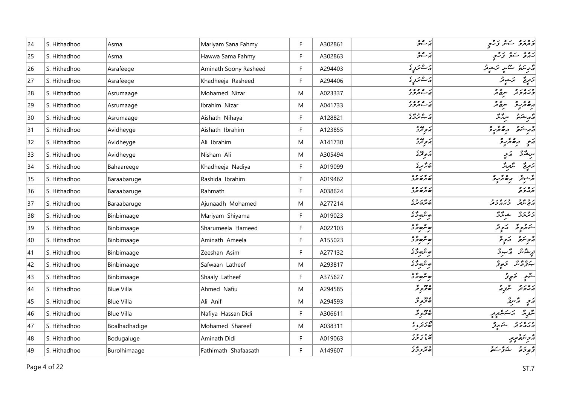| 24 | S. Hithadhoo | Asma              | Mariyam Sana Fahmy    | F  | A302861 | رمصر                             | دېمرو ساعتر ورځي                                                                                       |
|----|--------------|-------------------|-----------------------|----|---------|----------------------------------|--------------------------------------------------------------------------------------------------------|
| 25 | S. Hithadhoo | Asma              | Hawwa Sama Fahmy      | F  | A302863 | رەپچ                             | $\frac{2}{3}$ $\frac{2}{3}$ $\frac{2}{3}$ $\frac{2}{3}$ $\frac{2}{3}$                                  |
| 26 | S. Hithadhoo | Asrafeege         | Aminath Soony Rasheed | F. | A294403 | ىر شەنئەر <sub>ى</sub> ئ         | و<br>أروسكو الشهر برشونر                                                                               |
| 27 | S. Hithadhoo | Asrafeege         | Khadheeja Rasheed     | F. | A294406 | ىر شەنىزى <sub>ر</sub> ئ         | زَمِرِيحٌ    مَرْسُومْر                                                                                |
| 28 | S. Hithadhoo | Asrumaage         | Mohamed Nizar         | M  | A023337 | ر ۱۵۵۵<br>در سر در د             | و ره ر و<br><i>و ټ</i> رو تر<br>سریج تنز                                                               |
| 29 | S. Hithadhoo | Asrumaage         | Ibrahim Nizar         | M  | A041733 | ر ره و د ،<br>پرسومرو د          | $\overline{\mathcal{Z}_{\mathcal{C}\mathcal{F}}^{\mathcal{E}}}$<br>ە ھەترىر <sup>ى</sup><br>بر ھەترىرى |
| 30 | S. Hithadhoo | Asrumaage         | Aishath Nihaya        | F  | A128821 | ر ره و د ،<br>پرسومرو د          | پھر مشہور<br>م<br>سرچينې<br>پ                                                                          |
| 31 | S. Hithadhoo | Avidheyge         | Aishath Ibrahim       | F. | A123855 | پر دی<br>پروترد                  |                                                                                                        |
| 32 | S. Hithadhoo | Avidheyge         | Ali Ibrahim           | M  | A141730 | پر پر پر<br> پر عربو             | $rac{1}{2}$                                                                                            |
| 33 | S. Hithadhoo | Avidheyge         | Nisham Ali            | M  | A305494 | أروته                            | سریشگر <sup>9</sup><br> مس<br>ەكىپىيە                                                                  |
| 34 | S. Hithadhoo | Bahaareege        | Khadheeja Nadiya      | F  | A019099 | پرېژنې<br>  چې تر پېړۍ           | ر<br>ترورچ<br>م<br>متزورة                                                                              |
| 35 | S. Hithadhoo | Baraabaruge       | Rashida Ibrahim       | F  | A019462 | ر پر د ۽<br>ن <i>ه نگ</i> رن تري | ېژىنىدۇر<br>س<br>مەھمىرى                                                                               |
| 36 | S. Hithadhoo | Baraabaruge       | Rahmath               | F  | A038624 | ر بر د د<br>ت <i>ه ب</i> ره برد  | ر ه ر د<br>برروم                                                                                       |
| 37 | S. Hithadhoo | Baraabaruge       | Ajunaadh Mohamed      | M  | A277214 | ر بر د د<br>ت <i>ه ب</i> ره برد  | ور ە ر د<br>تر پروتر<br>ر ج شگر<br>مربع سرگور                                                          |
| 38 | S. Hithadhoo | Binbimaage        | Mariyam Shiyama       | F  | A019023 | ە ئىرەنى<br>ئى                   | ر ه ر ه<br><del>ر</del> بربرگر<br>شەدگر گر                                                             |
| 39 | S. Hithadhoo | Binbimaage        | Sharumeela Hameed     | F  | A022103 | ه شهود د<br>د                    | شكرو كالمحافظة الكرامية                                                                                |
| 40 | S. Hithadhoo | Binbimaage        | Aminath Ameela        | F  | A155023 | ە ئىر ئەم<br>ئىر                 |                                                                                                        |
| 41 | S. Hithadhoo | Binbimaage        | Zeeshan Asim          | F  | A277132 | ه شهود د<br>د سره د د            | فرِڪُمُر<br>وشبة                                                                                       |
| 42 | S. Hithadhoo | Binbimaage        | Safwaan Latheef       | M  | A293817 | ه شهود د                         | برەپ ئەچ ئۇچۇ                                                                                          |
| 43 | S. Hithadhoo | Binbimaage        | Shaaly Latheef        | F  | A375627 | ه شهود د                         | شَرْمٍ كَرْجِوْرٌ                                                                                      |
| 44 | S. Hithadhoo | <b>Blue Villa</b> | Ahmed Nafiu           | M  | A294585 | ە دوغ                            | برەر دېگرو                                                                                             |
| 45 | S. Hithadhoo | <b>Blue Villa</b> | Ali Anif              | M  | A294593 | ە دەپە ئۇ                        | ويمس ويسرو                                                                                             |
| 46 | S. Hithadhoo | <b>Blue Villa</b> | Nafiya Hassan Didi    | F  | A306611 | ە دوپە ئۇ                        | ب <i>رو پر مار مار</i>                                                                                 |
| 47 | S. Hithadhoo | Boalhadhadige     | Mohamed Shareef       | M  | A038311 | ہ بر بر بر<br> <br> <br>         | ورەرو شەيرو                                                                                            |
| 48 | S. Hithadhoo | Bodugaluge        | Aminath Didi          | F  | A019063 | پر د بر د بر<br>ن ن ن مر پر      | ء<br> مرح سكون مرمر                                                                                    |
| 49 | S. Hithadhoo | Burolhimaage      | Fathimath Shafaasath  | F. | A149607 | ە بىر بەر بەر<br>ھەتترىر تەر     | ۇ بەر ئۇنىدۇ                                                                                           |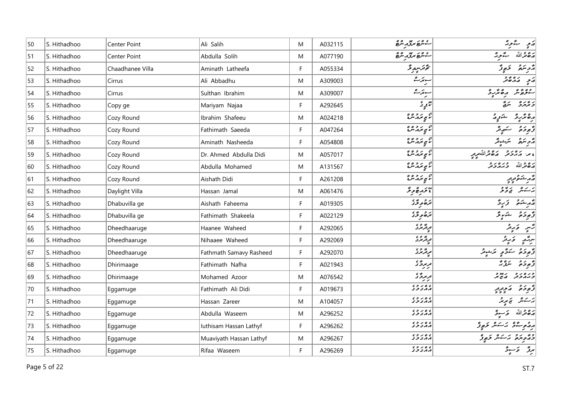| 50 | S. Hithadhoo | Center Point     | Ali Salih               | M  | A032115 | مەمرى <i>ي بىر ۋە بىر ھ</i>                        | ړې به ده.<br>د پ                                 |
|----|--------------|------------------|-------------------------|----|---------|----------------------------------------------------|--------------------------------------------------|
| 51 | S. Hithadhoo | Center Point     | Abdulla Solih           | M  | A077190 |                                                    | ەھىراللە                                         |
| 52 | S. Hithadhoo | Chaadhanee Villa | Aminath Latheefa        | F. | A055334 | ڭۇقرىبرە ئۇ                                        | خبجوتر<br>أرمز                                   |
| 53 | S. Hithadhoo | Cirrus           | Ali Abbadhu             | M  | A309003 | سەپرىشە                                            | $rac{200}{2000}$                                 |
| 54 | S. Hithadhoo | Cirrus           | Sulthan Ibrahim         | M  | A309007 | سەپرىشە                                            | ره و و ه<br>ە ھەترىرى                            |
| 55 | S. Hithadhoo | Copy ge          | Mariyam Najaa           | F  | A292645 | بر<br>موريد                                        | ر ه ر ه<br><del>و</del> بربرو<br>سرة             |
| 56 | S. Hithadhoo | Cozy Round       | Ibrahim Shafeeu         | M  | A024218 | م پر بر و ه<br>ما سم بر بر مرد                     | ا پر ځانگړنه د<br>شَوَرٍ رُ                      |
| 57 | S. Hithadhoo | Cozy Round       | Fathimath Saeeda        | F  | A047264 | ءَ پر پر ژهره                                      | وَجوحَةِ سَهِيمٌ                                 |
| 58 | S. Hithadhoo | Cozy Round       | Aminath Nasheeda        | F. | A054808 | ء<br> پېښم <i>د م</i> ر                            | أأروبتهم الترشوش                                 |
| 59 | S. Hithadhoo | Cozy Round       | Dr. Ahmed Abdulla Didi  | M  | A057017 | م<br>تايم <i>پرو</i> شن                            | ره رو رو ده و الله در د                          |
| 60 | S. Hithadhoo | Cozy Round       | Abdulla Mohamed         | M  | A131567 | م سي بر حرم من المعني<br>مسيح بر مركز من           | رە داللە دىرە دو                                 |
| 61 | S. Hithadhoo | Cozy Round       | Aishath Didi            | F  | A261208 | م پر بر و ه <sub>و</sub> ه<br>م                    | و د کرد کو د د د کرد کرد.<br>د کرد کشور کو د کار |
| 62 | S. Hithadhoo | Daylight Villa   | Hassan Jamal            | M  | A061476 | } ئەربۇرۇ                                          | $\frac{252}{252}$ $\frac{222}{25}$               |
| 63 | S. Hithadhoo | Dhabuvilla ge    | Aishath Faheema         | F  | A019305 | پر چه په<br>  ترخو پوځو په                         | أشهر شده وكرد                                    |
| 64 | S. Hithadhoo | Dhabuvilla ge    | Fathimath Shakeela      | F  | A022129 | ترځونځۍ                                            | قرموخرة المستوريح                                |
| 65 | S. Hithadhoo | Dheedhaaruge     | Haanee Waheed           | F  | A292065 | و چې و د<br>تونگرىنرى                              | محسور وكردية<br>المحسور وكردية<br>المرحمد وكردية |
| 66 | S. Hithadhoo | Dheedhaaruge     | Nihaaee Waheed          | F. | A292069 | و دگرىز د <sup>ە</sup><br>ئ <sub>ە</sub> يتىرىمى ئ |                                                  |
| 67 | S. Hithadhoo | Dheedhaaruge     | Fathmath Samavy Rasheed | F. | A292070 | وروژ بر د                                          | وتجوحاها المكافح المتصوفر                        |
| 68 | S. Hithadhoo | Dhirimaage       | Fathimath Nafha         | F. | A021943 | ورىرىچ<br>مرىرىچە                                  | وٌ وَدَهُ سَرُونَهُ                              |
| 69 | S. Hithadhoo | Dhirimaage       | Mohamed Azoor           | M  | A076542 | توبور <sup>ي</sup><br>تربورگ                       | כנסנכ נחבר                                       |
| 70 | S. Hithadhoo | Eggamuge         | Fathimath Ali Didi      | F  | A019673 | 55599                                              | أوجوحكم المكومومر                                |
| 71 | S. Hithadhoo | Eggamuge         | Hassan Zareer           | M  | A104057 | ، ه ر و ،<br>پر پر <del>ر</del> ر                  | ىر كىشى ئىم ئىرىتى                               |
| 72 | S. Hithadhoo | Eggamuge         | Abdulla Waseem          | M  | A296252 | 55500                                              | رە دالله مۇسوم                                   |
| 73 | S. Hithadhoo | Eggamuge         | luthisam Hassan Lathyf  | F  | A296262 | 55599                                              | رەپ ئەڭ باسىش كېرو                               |
| 74 | S. Hithadhoo | Eggamuge         | Muaviyath Hassan Lathyf | M  | A296267 | 55599                                              | כזי גב גבור בתור                                 |
| 75 | S. Hithadhoo | Eggamuge         | Rifaa Waseem            | F  | A296269 | 55599                                              | برژ کا پاد                                       |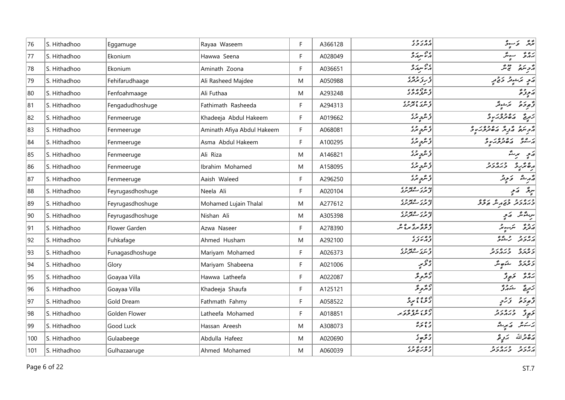| 76  | S. Hithadhoo | Eggamuge         | Rayaa Waseem               | F  | A366128 | 55500                                        | بزوش كاسبوق                                              |
|-----|--------------|------------------|----------------------------|----|---------|----------------------------------------------|----------------------------------------------------------|
| 77  | S. Hithadhoo | Ekonium          | Hawwa Seena                | F. | A028049 | $\overset{\circ}{\mathscr{A}}_{\mathscr{A}}$ | برە پ                                                    |
| 78  | S. Hithadhoo | Ekonium          | Aminath Zoona              | F. | A036651 | $\frac{1}{2}$                                | دو پر<br>سم سر<br>ړڅ پرېږ                                |
| 79  | S. Hithadhoo | Fehifarudhaage   | Ali Rasheed Majdee         | M  | A050988 | ې په د وي.<br>نورنو ترور                     | ړې پرېښو وکړې<br>مړ                                      |
| 80  | S. Hithadhoo | Fenfoahmaage     | Ali Futhaa                 | M  | A293248 | ، وہ ہ و و ،<br>او سرو پر و ی                | ەيروپ                                                    |
| 81  | S. Hithadhoo | Fengadudhoshuge  | Fathimath Rasheeda         | F  | A294313 | ه د د د د د د<br>توسری ترس                   | و و د د سر انداز                                         |
| 82  | S. Hithadhoo | Fenmeeruge       | Khadeeja Abdul Hakeem      | F  | A019662 | ۇ ئۈچە يۈتە                                  | زرق مەدەر ە                                              |
| 83  | S. Hithadhoo | Fenmeeruge       | Aminath Afiya Abdul Hakeem | F  | A068081 | ې مر <sub>ح</sub> پر <sub>د</sub>            | أدوسم أأروش أأود ودوريا                                  |
| 84  | S. Hithadhoo | Fenmeeruge       | Asma Abdul Hakeem          | F  | A100295 | ئۇيۇ <sub>چە جە</sub> ج                      | رمشقر<br>ره وه د ره<br>پره ترور رو                       |
| 85  | S. Hithadhoo | Fenmeeruge       | Ali Riza                   | M  | A146821 | ۇ ئىرىپە بىرى                                | ړَي برِتٌ                                                |
| 86  | S. Hithadhoo | Fenmeeruge       | Ibrahim Mohamed            | M  | A158095 | ۇ ئىرىپە جرى                                 | ە ھەترىرى<br>برھەترىرى<br>و ر ه ر و<br>تر پر ژ تر        |
| 87  | S. Hithadhoo | Fenmeeruge       | Aaish Waleed               | F  | A296250 | ې مر <sub>ح</sub> پر <sub>ئ</sub>            | أأرث أأوقر                                               |
| 88  | S. Hithadhoo | Feyrugasdhoshuge | Neela Ali                  | F  | A020104 | د، و رے پو و ،<br>تو بری سسترمری             | سرڈ کے خ                                                 |
| 89  | S. Hithadhoo | Feyrugasdhoshuge | Mohamed Lujain Thalal      | M  | A277612 | ده و ر<br>تو بر یک سوتر در                   |                                                          |
| 90  | S. Hithadhoo | Feyrugasdhoshuge | Nishan Ali                 | M  | A305398 | ده و ر<br>تو بو ی سوتر د ی                   | <br> سربشگر کمیتم                                        |
| 91  | S. Hithadhoo | Flower Garden    | Azwa Naseer                | F. | A278390 | ە بەير<br><b>زى</b> ردۇ بىر ي                | روء سكب ويحر                                             |
| 92  | S. Hithadhoo | Fuhkafage        | Ahmed Husham               | M  | A292100 | و ە ر ر ،<br>تى پر ئىس ئ                     | رەر دىپە                                                 |
| 93  | S. Hithadhoo | Funagasdhoshuge  | Mariyam Mohamed            | F  | A026373 | و پر پر ويو و ۽<br>نو سرپر سونٽرمري          | و ر ه ر د<br>تر پر ژ تر<br>ر ه ر ه<br><del>و</del> بربرو |
| 94  | S. Hithadhoo | Glory            | Mariyam Shabeena           | F  | A021006 | ە مىمىيە                                     | ر ه ر ه<br>شەھ ئىر                                       |
| 95  | S. Hithadhoo | Goayaa Villa     | Hawwa Latheefa             | F  | A022087 | ە بەر<br>ئەترەپەتى                           | برەپچ<br>ځږو تر                                          |
| 96  | S. Hithadhoo | Goayaa Villa     | Khadeeja Shaufa            | F  | A125121 | ? پڑ <sub>ھ ب</sub> وگ                       | ئر توقع<br>م<br>شەرىخ                                    |
| 97  | S. Hithadhoo | Gold Dream       | Fathmath Fahmy             | F  | A058522 | ه وه وه و ه<br>د عرو و مرد                   | وٌمودَهُ وَرْحٍ                                          |
| 98  | S. Hithadhoo | Golden Flower    | Latheefa Mohamed           | F. | A018851 | ہ ہ ر ہ ہ ہ ر<br>ى نژ ۽ سرني توبىر           | كجور ورەرد                                               |
| 99  | S. Hithadhoo | Good Luck        | Hassan Areesh              | M  | A308073 | د ه بره<br>د ٤ مر <sup>ر</sup>               |                                                          |
| 100 | S. Hithadhoo | Gulaabeege       | Abdulla Hafeez             | M  | A020690 | د نژه د<br>د نژه د                           | برە داللە بروپۇ                                          |
| 101 | S. Hithadhoo | Gulhazaaruge     | Ahmed Mohamed              | M  | A060039 | و ہ مرید و بر<br>مح <b>رض بمر</b> ی          | ג סגב בג סגב<br>הגבע בגהבע                               |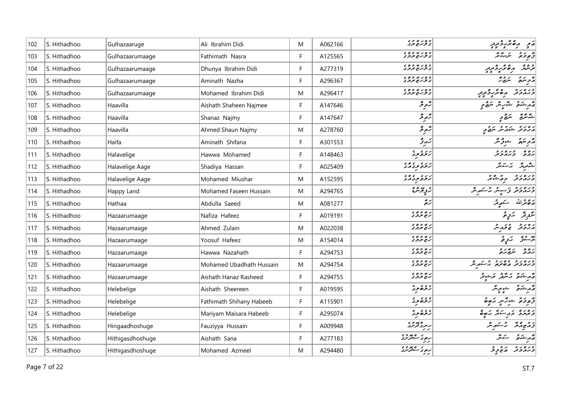| 102 | S. Hithadhoo | Gulhazaaruge     | Ali Ibrahim Didi         | M  | A062166 | و ه ر پر و ،<br>د <del>ن</del> ورنځ بود   | ړې ره تر دوبرد                             |
|-----|--------------|------------------|--------------------------|----|---------|-------------------------------------------|--------------------------------------------|
| 103 | S. Hithadhoo | Gulhazaarumaage  | Fathimath Nasra          | F  | A125565 | و ه ر بر و د ،<br>د نوریخ بود د           | ىئەسەتىر<br>ء بر د<br>ترجو حو              |
| 104 | S. Hithadhoo | Gulhazaarumaage  | Dhunya Ibrahim Didi      | F  | A277319 | و ه د پر و پر د<br>د نورنځ ندو د          | و ه و<br>ترس<br>__<br>پرځ ټر و در در       |
| 105 | S. Hithadhoo | Gulhazaarumaage  | Aminath Nazha            | E  | A296367 | و ه ر پر و پر د<br>د نور پنج بود د        | و څخه سره<br>سرچ پژ                        |
| 106 | S. Hithadhoo | Gulhazaarumaage  | Mohamed Ibrahim Didi     | M  | A296417 | و ه ر پر و پر ،<br>  د نور بنج برو د      | ورەرو مەگرىۋىرىر                           |
| 107 | S. Hithadhoo | Haavilla         | Aishath Shaheen Najmee   | F. | A147646 | رٌّہ ِ تَرُ                               | وأرجأه حديد للمعج                          |
| 108 | S. Hithadhoo | Haavilla         | Shanaz Najmy             | F  | A147647 |                                           | فيشترج لترقيح                              |
| 109 | S. Hithadhoo | Haavilla         | Ahmed Shaun Najmy        | M  | A278760 | رًّ <sub>مو</sub> وَّ                     | ر و د و د و د سرچ د                        |
| 110 | S. Hithadhoo | Haifa            | Aminath Shifana          | F  | A301553 | تەدۋ                                      | أزويتهم شورتمر                             |
| 111 | S. Hithadhoo | Halavelige       | Hawwa Mohamed            | F  | A148463 | ترىخ موتى                                 | ره دره رد<br>پهرو وبروتر                   |
| 112 | S. Hithadhoo | Halavelige Aage  | Shadiya Hassan           | F  | A025409 | ر ر ، <sub>و ، پ</sub> ،<br>ر ز و و د د د | ڪوريز پرڪير                                |
| 113 | S. Hithadhoo | Halavelige Aage  | Mohamed Miushar          | M  | A152595 | ژبره و ه ژبره                             | ورەرو دەرمۇم                               |
| 114 | S. Hithadhoo | Happy Land       | Mohamed Faseen Hussain   | M  | A294765 | <sup>ى</sup> پەغمى                        | ورەرو زىر سار ئەسكەر                       |
| 115 | S. Hithadhoo | Hathaa           | Abdulla Saeed            | M  | A081277 | ريج                                       | مَەھىمەللە سەمەم                           |
| 116 | S. Hithadhoo | Hazaarumaage     | Nafiza Hafeez            | F  | A019191 | ر ۶ و ۶ ی<br>رسخ بوری                     | سٌموِنَزٌ - سَوِنْدُ                       |
| 117 | S. Hithadhoo | Hazaarumaage     | Ahmed Zulain             | M  | A022038 | ر ۶ و ۶ و<br>رسخ بوری                     | ره رو و در شکرد میکند.<br>امریک حاجه می سر |
| 118 | S. Hithadhoo | Hazaarumaage     | Yoosuf Hafeez            | M  | A154014 | ر ۶ و ۶ ی<br>تریخ بوری                    | دد وه بر د د<br>ارسسو بروپه                |
| 119 | S. Hithadhoo | Hazaarumaage     | Hawwa Nazahath           | F  | A294753 | ر ۶ و ۶ ی<br>رسخ مرو ی                    | رەپ شەرد                                   |
| 120 | S. Hithadhoo | Hazaarumaage     | Mohamed Ubadhath Hussain | M  | A294754 | ر ۶ و ۶ ی<br>رسخ مرو ی                    | ورەر د دور د د کرم                         |
| 121 | S. Hithadhoo | Hazaarumaage     | Aishath Hanaz Rasheed    | F  | A294755 | ر پر و پر ی<br>رسم مرو <sub>م</sub>       | مەر شەرقى بەللار بىر شوند                  |
| 122 | S. Hithadhoo | Helebelige       | Aishath Sheereen         | F  | A019595 | ه ، ، ، ،<br>روه <sub>فر</sub> د          | ۇرىشكى سىرىر                               |
| 123 | S. Hithadhoo | Helebelige       | Fathimath Shihany Habeeb | F  | A115901 | ی ی ی ی<br>رنو <i>ه و</i> ی               | توج ده شرگس نه ده                          |
| 124 | S. Hithadhoo | Helebelige       | Mariyam Maisara Habeeb   | F  | A295074 | ئ ئ ئ ئ                                   | ג בינוב בן הוביל גם                        |
| 125 | S. Hithadhoo | Hirigaadhoshuge  | Fauziyya Hussain         | F  | A009948 | ار بر پر د د د<br>ار برد تر تر د          | زرمي مهر بر شهر شر                         |
| 126 | S. Hithadhoo | Hithigasdhoshuge | Aishath Sana             | F  | A277183 | ر مړی کر ده ده ده ته د                    | ۇرىشكۇ سىگە                                |
| 127 | S. Hithadhoo | Hithigasdhoshuge | Mohamed Azmeel           | M  | A294480 | اره د حود د ،<br>- در                     | בגם גם בביב                                |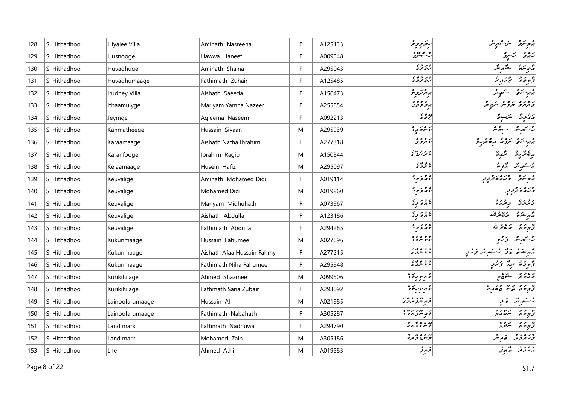| 128 | S. Hithadhoo | Hiyalee Villa   | Aminath Nasreena           | F  | A125133 | ر پر پوءِ پُر                          | أأرجع أأراد المستعر                                                                                                    |
|-----|--------------|-----------------|----------------------------|----|---------|----------------------------------------|------------------------------------------------------------------------------------------------------------------------|
| 129 | S. Hithadhoo | Husnooge        | Hawwa Haneef               | E  | A009548 | و مەددى<br>سەبىرى                      | برەق بەسرو                                                                                                             |
| 130 | S. Hithadhoo | Huvadhuge       | Aminath Shaina             | F  | A295043 | و ر و ،<br>رحافری                      | شەھرىتىر<br>أرمز                                                                                                       |
| 131 | S. Hithadhoo | Huvadhumaage    | Fathimath Zuhair           | F  | A125485 | و ر و د »<br>روىرو د                   | تح ئەمرىتى<br>و مر د<br>تر مور م                                                                                       |
| 132 | S. Hithadhoo | Irudhey Villa   | Aishath Saeeda             | F  | A156473 | مر ترتر عرقر                           | ۇرىشكى سىرتىگە                                                                                                         |
| 133 | S. Hithadhoo | Ithaamuiyge     | Mariyam Yamna Nazeer       | F. | A255854 | أرجوه وه                               | ג 2010 גם 2 תבית ה                                                                                                     |
| 134 | S. Hithadhoo | Jeymge          | Agleema Naseem             | F  | A092213 | پے و   ي<br>  فع تر تر                 | 23 جوءًا    سَرَ -- وقر                                                                                                |
| 135 | S. Hithadhoo | Kanmatheege     | Hussain Siyaan             | M  | A295939 | ئەشرى <i>خ م</i> وتى                   | جر سنهر شهر مشر میشد.<br>مرگز میگر                                                                                     |
| 136 | S. Hithadhoo | Karaamaage      | Aishath Nafha Ibrahim      | F  | A277318 | ر ۶۵۵.<br>ما بورسی                     |                                                                                                                        |
| 137 | S. Hithadhoo | Karanfooge      | Ibrahim Ragib              | M  | A150344 | ر ر د ده د.<br>تا بر سرو د             | ە ئەر ئەر ئەر ئەر                                                                                                      |
| 138 | S. Hithadhoo | Kelaamaage      | Husein Hafiz               | M  | A295097 | ، پیچ ۽<br>ما مگر تر <sub>ک</sub>      |                                                                                                                        |
| 139 | S. Hithadhoo | Keuvalige       | Aminath Mohamed Didi       | F  | A019114 | ه در په<br>مه تور                      | أأوسم وبرور ويوبر                                                                                                      |
| 140 | S. Hithadhoo | Keuvalige       | Mohamed Didi               | M  | A019260 | ، در به<br>ماره مرد                    | و ر ه ر و<br>د بر پر و ترترتر                                                                                          |
| 141 | S. Hithadhoo | Keuvalige       | Mariyam Midhuhath          | F  | A073967 | ، در ،<br>مهروبور                      | ג סג ס<br>בינו <i>נוב</i> בנגם                                                                                         |
| 142 | S. Hithadhoo | Keuvalige       | Aishath Abdulla            | F  | A123186 | ، در د ،<br>ماړه مرد                   | صمر منحمر صكرة وترالله                                                                                                 |
| 143 | S. Hithadhoo | Keuvalige       | Fathimath Abdulla          | F  | A294285 | پر حرم پر                              | قرموح صكائله                                                                                                           |
| 144 | S. Hithadhoo | Kukunmaage      | Hussain Fahumee            | M  | A027896 | د د ه و و ،<br>ما ما مرو د             | يزحكموننك وكرجي                                                                                                        |
| 145 | S. Hithadhoo | Kukunmaage      | Aishath Afaa Hussain Fahmy | F  | A277215 | د د ه و و ،<br>ما ما مرچ ي             |                                                                                                                        |
| 146 | S. Hithadhoo | Kukunmaage      | Fathimath Niha Fahumee     | F  | A295948 | د د ه و د ،<br>ما ما مرچ ي             | وٌمودَهُ سِرٌ وَرُدٍ                                                                                                   |
| 147 | S. Hithadhoo | Kurikihilage    | Ahmed Shazmee              | M  | A099506 | ر<br>سربر برىدى<br>سربر بر             | رەرد شەجر                                                                                                              |
| 148 | S. Hithadhoo | Kurikihilage    | Fathmath Sana Zubair       | F  | A293092 | ا تا بر با برخ<br><u>المربو</u> ر برخ  | توجدة ويتر بمفهر                                                                                                       |
| 149 | S. Hithadhoo | Lainoofarumaage | Hussain Ali                | M  | A021985 | <br>  در دور و و و و                   | 2 س <i>ەر شەرقى</i> يېزىيەت كەنتى بىر ئەستىگان كىلەت كەنتى كەنتى كەنتى كەنتى كەنتى كەنتى كەنتى كەنتى كەنتى كەنتى كەنتى |
| 150 | S. Hithadhoo | Lainoofarumaage | Fathimath Nabahath         | F  | A305287 | ى پەرەپرە ئ                            |                                                                                                                        |
| 151 | S. Hithadhoo | Land mark       | Fathmath Nadhuwa           | F  | A294790 | ر، ه ه و په ه<br>مرس و <sub>مر</sub> ر | و دو بروه                                                                                                              |
| 152 | S. Hithadhoo | Land mark       | Mohamed Zain               | M  | A305186 | ر، ه ه و په ه<br>مرس و <sub>مر</sub> ر | ورورو بمدعه                                                                                                            |
| 153 | S. Hithadhoo | Life            | Ahmed Athif                | M  | A019583 | خەرى                                   | رەر ئەر                                                                                                                |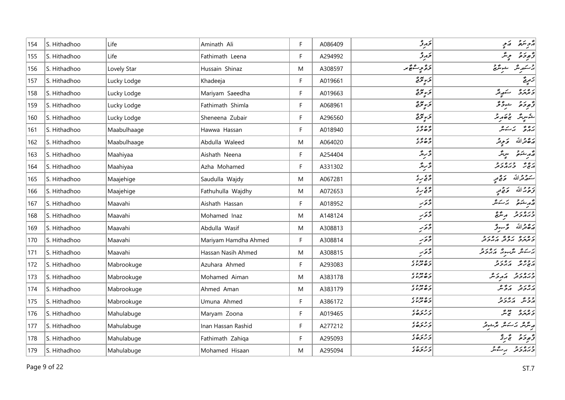| 154 | S. Hithadhoo | Life        | Aminath Ali          | $\mathsf F$ | A086409 | خەر بى                                       | أروبتهم<br>ەكىپىيە                                                                                                                                                                                                              |
|-----|--------------|-------------|----------------------|-------------|---------|----------------------------------------------|---------------------------------------------------------------------------------------------------------------------------------------------------------------------------------------------------------------------------------|
| 155 | S. Hithadhoo | Life        | Fathimath Leena      | F           | A294992 | خەرى                                         | حريثر<br>و مر د<br>گرمو ژه                                                                                                                                                                                                      |
| 156 | S. Hithadhoo | Lovely Star | Hussain Shinaz       | M           | A308597 | ئۇرۇمۇسىتى بىر                               | شومگر <sup>چ</sup><br>مر<br>جەسەمەر<br>س                                                                                                                                                                                        |
| 157 | S. Hithadhoo | Lucky Lodge | Khadeeja             | F           | A019661 | لخرموجوج                                     |                                                                                                                                                                                                                                 |
| 158 | S. Hithadhoo | Lucky Lodge | Mariyam Saeedha      | $\mathsf F$ | A019663 | تزريع ہ<br>                                  |                                                                                                                                                                                                                                 |
| 159 | S. Hithadhoo | Lucky Lodge | Fathimath Shimla     | $\mathsf F$ | A068961 | ئۇرىدى<br>  ئۇرىيە ئىرقى                     | وُمِرَدَةَ جُرَدَّدُ                                                                                                                                                                                                            |
| 160 | S. Hithadhoo | Lucky Lodge | Sheneena Zubair      | F           | A296560 | ئۇرىيىچە 2                                   | شور می می می می کند می                                                                                                                                                                                                          |
| 161 | S. Hithadhoo | Maabulhaage | Hawwa Hassan         | $\mathsf F$ | A018940 | / پر دی م<br>اگر نص بی می                    | رەپ برسكىر                                                                                                                                                                                                                      |
| 162 | S. Hithadhoo | Maabulhaage | Abdulla Waleed       | M           | A064020 | ۶ و ۶ و<br>تر ت <i>نه ت</i> ر <sub>ک</sub>   | <mark>بر25</mark> الله<br>ءَ وِتر                                                                                                                                                                                               |
| 163 | S. Hithadhoo | Maahiyaa    | Aishath Neena        | F           | A254404 | د مر<br>ر                                    | أقرم شدة سرينگر                                                                                                                                                                                                                 |
| 164 | S. Hithadhoo | Maahiyaa    | Azha Mohamed         | F           | A331302 | رشته بر                                      | ره دره در<br>مر <i>ج د</i> رمزد                                                                                                                                                                                                 |
| 165 | S. Hithadhoo | Maajehige   | Saudulla Wajdy       | M           | A067281 | پرې دي<br>  پرې کورنۍ                        | حدود الله حقيق                                                                                                                                                                                                                  |
| 166 | S. Hithadhoo | Maajehige   | Fathuhulla Wajdhy    | M           | A072653 | پرې دي<br>  پرې کورئ                         | وحيرالله عقيب                                                                                                                                                                                                                   |
| 167 | S. Hithadhoo | Maavahi     | Aishath Hassan       | $\mathsf F$ | A018952 | ۇ ئەر<br>بە                                  | ۇرىشكۇ بەسكىر                                                                                                                                                                                                                   |
| 168 | S. Hithadhoo | Maavahi     | Mohamed Inaz         | M           | A148124 | ۇ ئەر<br>بە                                  | ورورو مشج                                                                                                                                                                                                                       |
| 169 | S. Hithadhoo | Maavahi     | Abdulla Wasif        | M           | A308813 | ۇ ئەر<br>بە                                  | أرَدْ مَدَاللّهُ مُحْسِبُوْ                                                                                                                                                                                                     |
| 170 | S. Hithadhoo | Maavahi     | Mariyam Hamdha Ahmed | F           | A308814 | رمحمة سر                                     | ג סגם גם 2 גםגב<br>כמחב גבת הגבת                                                                                                                                                                                                |
| 171 | S. Hithadhoo | Maavahi     | Hassan Nasih Ahmed   | M           | A308815 | لمحتصب                                       | بر کامل مگر ہونے اور دیا دیکھیے کی مقدمت کی ایک کامل کرنے کی ایک ایک کامل کرنے کی ایک کامل کرنے کے مالک کا کا<br>ایک کامل کامل کامل کرنے کے مالک کامل کرنے کی مقدمت کی مقدمت کی مقدمت کی مقدمت کی ایک کامل کرنے کی مقدمت کی کام |
| 172 | S. Hithadhoo | Mabrookuge  | Azuhara Ahmed        | $\mathsf F$ | A293083 | ر ۵ دو و ۷<br>تر ت مورد ک                    | ر و دی در رو ر و<br>پرې رسمن پر پر تر تر                                                                                                                                                                                        |
| 173 | S. Hithadhoo | Mabrookuge  | Mohamed Aiman        | M           | A383178 | ر ۵ دو و ۷<br>تر ت مورد ک                    | כגם גם גם                                                                                                                                                                                                                       |
| 174 | S. Hithadhoo | Mabrookuge  | Ahmed Aman           | M           | A383179 | ر ۵ دو و ۷<br>تر ت مورد ی                    | גפיכ גליל                                                                                                                                                                                                                       |
| 175 | S. Hithadhoo | Mabrookuge  | Umuna Ahmed          | F           | A386172 | ر ۵ دو د ۷<br><del>ر</del> ت <i>ه بو ب</i> ر | ووعر أمارور                                                                                                                                                                                                                     |
| 176 | S. Hithadhoo | Mahulabuge  | Maryam Zoona         | F           | A019465 | ر و ر و ،<br>تر تر ن                         | ב זה כבוד.                                                                                                                                                                                                                      |
| 177 | S. Hithadhoo | Mahulabuge  | Inan Hassan Rashid   | F           | A277212 | ر و ر و ،<br>تر تر <del>ن</del>              | أریٹریٹر برے مگر بڑھونڈ                                                                                                                                                                                                         |
| 178 | S. Hithadhoo | Mahulabuge  | Fathimath Zahiqa     | F           | A295093 | ر ور و ،<br><mark>ژرنوه</mark> د             | قَە ئەرقىق ئىچ ئەرقى                                                                                                                                                                                                            |
| 179 | S. Hithadhoo | Mahulabuge  | Mohamed Hisaan       | M           | A295094 | ر و ر و ،<br>تر ترک                          | ورەرو بەشر                                                                                                                                                                                                                      |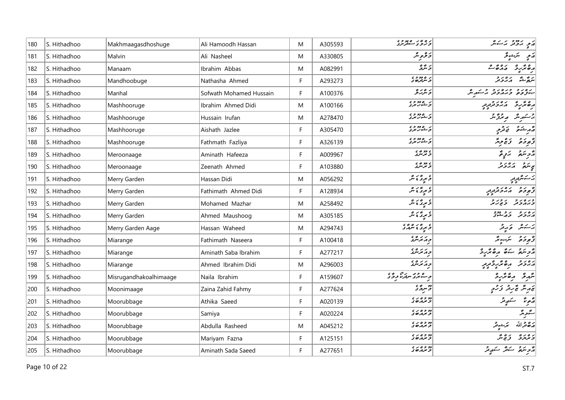| 180 | S. Hithadhoo | Makhmaagasdhoshuge     | Ali Hamoodh Hassan      | M           | A305593 | ر ه پر ر ه پود و ،<br><mark>تر</mark> نرن کا سافر مر <sub>ک</sub> | أربح بردد وأراكبهما                  |
|-----|--------------|------------------------|-------------------------|-------------|---------|-------------------------------------------------------------------|--------------------------------------|
| 181 | S. Hithadhoo | Malvin                 | Ali Nasheel             | M           | A330805 | 5 گۇھ بىر                                                         | أركمج الكريشوقى                      |
| 182 | S. Hithadhoo | Manaam                 | Ibrahim Abbas           | M           | A082991 | تر شره                                                            |                                      |
| 183 | S. Hithadhoo | Mandhoobuge            | Nathasha Ahmed          | F           | A293273 | ر ه دد د ،<br>تر سربر ن                                           | ىر ئەھەر ئەرەر ئەر                   |
| 184 | S. Hithadhoo | Manhal                 | Sofwath Mohamed Hussain | $\mathsf F$ | A100376 | ىر <i>ھەر</i> بۇ                                                  | رەرد درەرد در.<br>سۆۋە دىمەدىر بەسەر |
| 185 | S. Hithadhoo | Mashhooruge            | Ibrahim Ahmed Didi      | M           | A100166 | ر ۱۶۵۰ و د<br>تر شور بور                                          | رەپرى دەرەپرى<br>رەپرىي مەدەمبرىي    |
| 186 | S. Hithadhoo | Mashhooruge            | Hussain Irufan          | M           | A278470 | ر ده دو د ،<br>تر شور بور                                         | جاسكور مدورة                         |
| 187 | S. Hithadhoo | Mashhooruge            | Aishath Jazlee          | F           | A305470 | ر ده دو و د<br>تر شور بور                                         | و ديگر ديگرمي<br>د ديگر شمار         |
| 188 | S. Hithadhoo | Mashhooruge            | Fathmath Fazliya        | F           | A326139 | ر ده دد و د<br>تر شور بور                                         | وتجوزه وتجعره                        |
| 189 | S. Hithadhoo | Meroonaage             | Aminath Hafeeza         | $\mathsf F$ | A009967 | ے دو یو ے<br>حرمتری                                               | أأترجع أتراريخ                       |
| 190 | S. Hithadhoo | Meroonaage             | Zeenath Ahmed           | F           | A103880 | ے دو ہے ے<br>حر سری                                               | ي سَمَعْ دَرَ دِرْ دِ                |
| 191 | S. Hithadhoo | Merry Garden           | Hassan Didi             | M           | A056292 | د سربر و مر                                                       | <br> ئەسەئىرىرىر                     |
| 192 | S. Hithadhoo | Merry Garden           | Fathimath Ahmed Didi    | F.          | A128934 | ې پېړۍ کې مګر<br>خ <i>ې</i> تېرنگ تامکر                           | توجوحوا أكاد وترترير                 |
| 193 | S. Hithadhoo | Merry Garden           | Mohamed Mazhar          | M           | A258492 | ې په په په مر<br>حربې                                             | 2222 22022                           |
| 194 | S. Hithadhoo | Merry Garden           | Ahmed Maushoog          | M           | A305185 | ې په په په مر                                                     |                                      |
| 195 | S. Hithadhoo | Merry Garden Aage      | Hassan Waheed           | M           | A294743 | ې په پره وي<br>د مړي <mark>،</mark> سر <i>و</i> ي                 | پرسەنتىر - خەريىتىر                  |
| 196 | S. Hithadhoo | Miarange               | Fathimath Naseera       | F           | A100418 | جەئمەتىر                                                          | أرموخا فالمسور                       |
| 197 | S. Hithadhoo | Miarange               | Aminath Saba Ibrahim    | F           | A277217 | جەئمەتىر                                                          | ו נקר נו הוא ביותר כ                 |
| 198 | S. Hithadhoo | Miarange               | Ahmed Ibrahim Didi      | M           | A296003 | ود تر ده پ                                                        | رور ده ژروبر                         |
| 199 | S. Hithadhoo | Misrugandhakoalhimaage | Naila Ibrahim           | F           | A159607 | ە دىر بەرە بەر<br>دىبەندى سەرىكى بەرى                             | شرقه رەتمرۇ                          |
| 200 | S. Hithadhoo | Moonimaage             | Zaina Zahid Fahmy       | $\mathsf F$ | A277624 | وه سرچ ی<br>حس                                                    | ىم پىر ئىچ بىر ئىچ كى                |
| 201 | S. Hithadhoo | Moorubbage             | Athika Saeed            | $\mathsf F$ | A020139 | ח כם גם<br>צ'ומרים ב                                              | ۇرمۇ سۇرىگە                          |
| 202 | S. Hithadhoo | Moorubbage             | Samiya                  | $\mathsf F$ | A020224 | دد و ه ر بر<br>تر <del>ب</del> ر بر حا بر                         | ستمريز                               |
| 203 | S. Hithadhoo | Moorubbage             | Abdulla Rasheed         | M           | A045212 | ח כם ג'ם<br>צ'ו <i>נ</i> רום צ                                    | أرة مرالله تمتحيص                    |
| 204 | S. Hithadhoo | Moorubbage             | Mariyam Fazna           | F           | A125151 | ח כם ג'ם<br>צ'ו <i>נ</i> רום צ                                    | رەرە زەش                             |
| 205 | S. Hithadhoo | Moorubbage             | Aminath Sada Saeed      | F           | A277651 | ח כם ג'ם<br>צ'ו <i>נרי</i> ם צ                                    | أأرجر منتقر سكرور فر                 |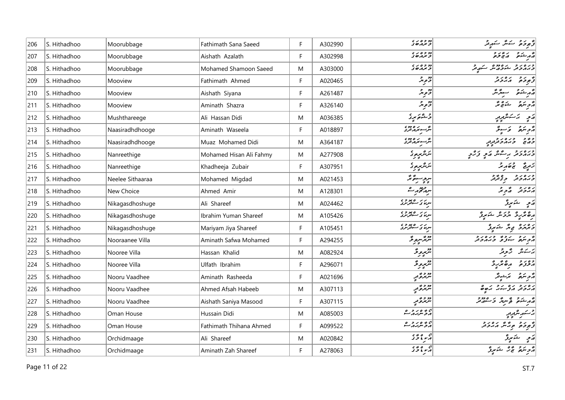| 206 | S. Hithadhoo | Moorubbage       | Fathimath Sana Saeed    | F           | A302990 | ח כם ג'ם<br>צ'ו <i>נר</i> וס ב               | قُرُوحِ مُ سَمَّرٌ سَمْرٍ قُرْ          |
|-----|--------------|------------------|-------------------------|-------------|---------|----------------------------------------------|-----------------------------------------|
| 207 | S. Hithadhoo | Moorubbage       | Aishath Azalath         | F           | A302998 | دد و ه ر بر<br>تر بوره ی                     |                                         |
| 208 | S. Hithadhoo | Moorubbage       | Mohamed Shamoon Saeed   | M           | A303000 | ח כם ג'י<br>צ'י <i>נ</i> רוס צ'              | ورەرو رەدوە بەرو                        |
| 209 | S. Hithadhoo | Mooview          | Fathimath Ahmed         | F           | A020465 | لترحر فر                                     | توجوحو برەرد                            |
| 210 | S. Hithadhoo | Mooview          | Aishath Siyana          | F           | A261487 | ود و<br>حرم مر                               | ە بەيسىدە ئىسىرىتىر                     |
| 211 | S. Hithadhoo | Mooview          | Aminath Shazra          | F           | A326140 | ادو مر<br>احرام                              | د در دره در د                           |
| 212 | S. Hithadhoo | Mushthareege     | Ali Hassan Didi         | M           | A036385 | د مشور پر <sup>م</sup>                       | پر پر سکس تر پر پر                      |
| 213 | S. Hithadhoo | Naasiradhdhooge  | Aminath Waseela         | E           | A018897 | مگر سوئېره ددې<br>مگر سوئېر د فري            | أأدمن وسو                               |
| 214 | S. Hithadhoo | Naasiradhdhooge  | Muaz Mohamed Didi       | M           | A364187 | مگر سوئبر در دره<br>مگر سوئبر در قری         |                                         |
| 215 | S. Hithadhoo | Nanreethige      | Mohamed Hisan Ali Fahmy | M           | A277908 | ىئەبىرىيە<br>س                               | ورەرو برگىر كې ۋرې                      |
| 216 | S. Hithadhoo | Nanreethige      | Khadheeja Zubair        | F           | A307951 | ىئەبىرىدى<br>ئ                               | كرسي من المحمد المحمد                   |
| 217 | S. Hithadhoo | Neelee Sithaaraa | Mohamed Migdad          | M           | A021453 | امر و سوء پر<br><u>سرو س</u> ون <sub>د</sub> | وره رو ه ه و<br><i>و پرم</i> ونر فوترنر |
| 218 | S. Hithadhoo | New Choice       | Ahmed Amir              | M           | A128301 | سرچينېر شه                                   | رەرو ۋە                                 |
| 219 | S. Hithadhoo | Nikagasdhoshuge  | Ali Shareef             | M           | A024462 | سربر کر دے دے<br>سربری سنگورس                | أتذموا المشاموقر                        |
| 220 | S. Hithadhoo | Nikagasdhoshuge  | Ibrahim Yuman Shareef   | M           | A105426 | ر ر ر ص د و د<br>سربا ی سسوتسروی             | مەھەر دە مەدە ئەر                       |
| 221 | S. Hithadhoo | Nikagasdhoshuge  | Mariyam Jiya Shareef    | $\mathsf F$ | A105451 | سربر کر دی دی۔<br>سربری سنگرمری              | د ويردو برگر ځېږو                       |
| 222 | S. Hithadhoo | Nooraanee Villa  | Aminath Safwa Mohamed   | F           | A294255 | تر ټر سره ژ                                  | د شرد به دره در د                       |
| 223 | S. Hithadhoo | Nooree Villa     | Hassan Khalid           | M           | A082924 | يژ <sub>موعو</sub> مۇ                        | يُرَسَمَّسُ الْأَحْرَىٰلُ               |
| 224 | S. Hithadhoo | Nooree Villa     | Ulfath Ibrahim          | E           | A296071 | يژ <sub>موعو</sub> مۇ                        | وه ده وه ده کرد                         |
| 225 | S. Hithadhoo | Nooru Vaadhee    | Aminath Rasheeda        | F           | A021696 | ۔<br>سربر جو مر                              | أروسكا المتحر المتفرد                   |
| 226 | S. Hithadhoo | Nooru Vaadhee    | Ahmed Afsah Habeeb      | M           | A307113 | دد د و.<br>سربر <sub>حو</sub> مړ             | גפגב גם גב גם 0<br>גגבע גציייג גם 0     |
| 227 | S. Hithadhoo | Nooru Vaadhee    | Aishath Saniya Masood   | F           | A307115 | دد د و پر<br>سربر د تور                      | مەم ئىكى ئۇس كى ئامەت                   |
| 228 | S. Hithadhoo | Oman House       | Hussain Didi            | M           | A085003 | ە پە ەر دە<br>مەر سرىر مە                    | جر ڪهر سرگرمبر<br>سيمبر سيمبر           |
| 229 | S. Hithadhoo | Oman House       | Fathimath Thihana Ahmed | F           | A099522 | ە پە ەر دە<br>مەر <i>مەر مە</i> ر            | و و د و مرکز د و د و                    |
| 230 | S. Hithadhoo | Orchidmaage      | Ali Shareef             | M           | A020842 | ه وه و.<br>مرد د د                           | ړنو ځمورمن                              |
| 231 | S. Hithadhoo | Orchidmaage      | Aminath Zah Shareef     | F           | A278063 |                                              | أأروسكم بمجر الشميرو                    |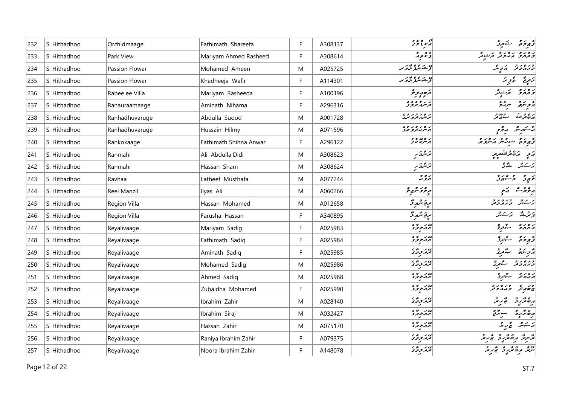| 232 | S. Hithadhoo | Orchidmaage    | Fathimath Shareefa     | F         | A308137 | ه وه وه<br>د مو و د                                 | توجوختم المتوريح                                        |
|-----|--------------|----------------|------------------------|-----------|---------|-----------------------------------------------------|---------------------------------------------------------|
| 233 | S. Hithadhoo | Park View      | Mariyam Ahmed Rasheed  | F         | A308614 | إرموه                                               | נפנס נפנד גליבה                                         |
| 234 | S. Hithadhoo | Passion Flower | Mohamed Ameen          | M         | A025725 | بۇ ئەمەر ئەرىر                                      | ورەرو كەچە                                              |
| 235 | S. Hithadhoo | Passion Flower | Khadheeja Wafir        | F         | A114301 | بۇ ئەمەر بەر<br>بۇ ئىسىر ئىركىزىر                   | كَ مَعْ مِنْ مِنْ مِنْ مِنْ مِنْ                        |
| 236 | S. Hithadhoo | Rabee ee Villa | Mariyam Rasheeda       | F         | A100196 | برَھورِ عر                                          | ر ه ر ه<br>ىخرىشەقگر                                    |
| 237 | S. Hithadhoo | Ranauraamaage  | Aminath Nihama         | F         | A296316 | ر ر د و و و و<br>برسمه برد و                        | سورمح<br>أرمز تمر                                       |
| 238 | S. Hithadhoo | Ranhadhuvaruge | Abdulla Suood          | M         | A001728 | ر ہ ر د ر د ،<br>برس ر ترو بری                      | برە تراللە<br>ر و دو و<br>مسعور قبر                     |
| 239 | S. Hithadhoo | Ranhadhuvaruge | Hussain Hilmy          | ${\sf M}$ | A071596 | ر ۵ ر ۶ ر ۶ و<br>بر نرر تر <i>ه</i> بر <sub>ک</sub> | ر مس <sub>ك</sub> ر مراكز بر ديگر به علم استرات         |
| 240 | S. Hithadhoo | Rankokaage     | Fathimath Shihna Anwar | F         | A296122 | ر ٥ پر <i>٤ ٥</i><br>برس <i>٧ ٧ ي</i>               | توجده شرکش رورد                                         |
| 241 | S. Hithadhoo | Ranmahi        | Ali Abdulla Didi       | M         | A308623 | برعرجربه                                            | رَمِي رَحْمَة اللَّهْ مِرْمَدٍ                          |
| 242 | S. Hithadhoo | Ranmahi        | Hassan Sham            | M         | A308624 | المرعرفر                                            | بر کىش شۇۋ                                              |
| 243 | S. Hithadhoo | Ravhaa         | Latheef Musthafa       | M         | A077244 | ر ه و<br>مرد بر                                     | د په دور<br>کج جو تر                                    |
| 244 | S. Hithadhoo | Reel Manzil    | Ilyas Ali              | ${\sf M}$ | A060266 | ىر ۋۇ ئىرىمى ئى                                     | أرقرش كماسي                                             |
| 245 | S. Hithadhoo | Region Villa   | Hassan Mohamed         | M         | A012658 | ىرىئە ئىرىر ئۇ                                      | ير کيمر وره رو                                          |
| 246 | S. Hithadhoo | Region Villa   | Farusha Hassan         | F         | A340895 | ىرىئە ئىرو ئۇ                                       | ۇ ئۇيش بۇ بەسكەنلەر                                     |
| 247 | S. Hithadhoo | Reyalivaage    | Mariyam Sadig          | F         | A025983 | ی ر په په<br>مرد مرد د                              | ر ه بر ه<br><del>د</del> بربرد<br>سيگ <sup>و</sup> تونو |
| 248 | S. Hithadhoo | Reyalivaage    | Fathimath Sadiq        | F         | A025984 | ، پر بر پر پر<br>مرکز مرکز                          | ۇ بۇ ئەھرىپى ئىستىر ئىستىر ئىستىر                       |
| 249 | S. Hithadhoo | Reyalivaage    | Aminath Sadiq          | F         | A025985 | ں ریں<br>ترپر پڑھ ی                                 | ۇ ئەسىرە ئەسەر                                          |
| 250 | S. Hithadhoo | Reyalivaage    | Mohamed Sadiq          | M         | A025986 | ں پر دی<br>موہر بوری                                | و رە ر د<br><i>د بر</i> گرىر<br>ر گروري                 |
| 251 | S. Hithadhoo | Reyalivaage    | Ahmed Sadiq            | M         | A025988 | ی ر په په<br>مرد ترو د                              | رەر دېر                                                 |
| 252 | S. Hithadhoo | Reyalivaage    | Zubaidha Mohamed       | F         | A025990 | ے پر دی۔<br>عربہ <del>م</del> رحری                  | و ره ر و<br><i>و پر</i> و تر<br>ح ئەمرىتر<br>ئ          |
| 253 | S. Hithadhoo | Reyalivaage    | Ibrahim Zahir          | ${\sf M}$ | A028140 | ں پر دی۔<br>عربہ <del>فر</del> ہ ی                  |                                                         |
| 254 | S. Hithadhoo | Reyalivaage    | Ibrahim Siraj          | ${\sf M}$ | A032427 | یں ریم ہے<br>موہر موجو ی                            | ە ھەترىر <sup>ە</sup><br>سىرتىرقى                       |
| 255 | S. Hithadhoo | Reyalivaage    | Hassan Zahir           | M         | A075170 | ے پر یہ مج<br>محمد محرم <sub>ک</sub>                | يرسك على سيمر جمر                                       |
| 256 | S. Hithadhoo | Reyalivaage    | Raniya Ibrahim Zahir   | F         | A079375 | ی ر په په<br>مرد مرد د                              |                                                         |
| 257 | S. Hithadhoo | Reyalivaage    | Noora Ibrahim Zahir    | F         | A148078 | ں پر دی۔<br>تربر پروی                               | مترند مرەنزىرد تمرىز                                    |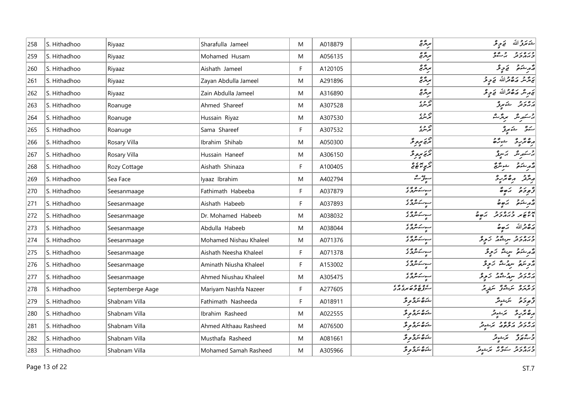| 258 | S. Hithadhoo | Riyaaz           | Sharafulla Jameel      | M  | A018879 | برومج                                                                                  | شەتتىر الله تەرپى                                                                                             |
|-----|--------------|------------------|------------------------|----|---------|----------------------------------------------------------------------------------------|---------------------------------------------------------------------------------------------------------------|
| 259 | S. Hithadhoo | Riyaaz           | Mohamed Husam          | M  | A056135 | برومج                                                                                  | ورەرو ويەھ                                                                                                    |
| 260 | S. Hithadhoo | Riyaaz           | Aishath Jameel         | F. | A120105 | برومج                                                                                  | أشركت فالحياني                                                                                                |
| 261 | S. Hithadhoo | Riyaaz           | Zayan Abdulla Jameel   | M  | A291896 | بردشح                                                                                  | بروح بره قرالله تج حرقه                                                                                       |
| 262 | S. Hithadhoo | Riyaaz           | Zain Abdulla Jameel    | M  | A316890 | برومج                                                                                  | ىم مەشر كەھ قىراللە ئەچ ئى                                                                                    |
| 263 | S. Hithadhoo | Roanuge          | Ahmed Shareef          | M  | A307528 | ہ وء<br>مرسمد                                                                          | رەرو خىرۇ                                                                                                     |
| 264 | S. Hithadhoo | Roanuge          | Hussain Riyaz          | M  | A307530 | ە د ،<br>ئىرسرى                                                                        | برسكريش المريرشة                                                                                              |
| 265 | S. Hithadhoo | Roanuge          | Sama Shareef           | F. | A307532 | ە د ،<br>ئىرسرى                                                                        | سەۋ شەيرۇ                                                                                                     |
| 266 | S. Hithadhoo | Rosary Villa     | Ibrahim Shihab         | M  | A050300 | ە<br> تىرىج مېرە <sub>م</sub> ەمىر                                                     | ەھتمەر<br>مەھتەر<br>$\overline{\overset{3}{\circ}}$                                                           |
| 267 | S. Hithadhoo | Rosary Villa     | Hussain Haneef         | M  | A306150 | ەر<br>ئىرىئے ئىرە بەر                                                                  | ر<br>رئاسگىرىش كىسپو                                                                                          |
| 268 | S. Hithadhoo | Rozy Cottage     | Aishath Shinaza        | F. | A100405 | اص برج ہ<br> بری تو قع فع                                                              | وكرمشكم سفرس                                                                                                  |
| 269 | S. Hithadhoo | Sea Face         | Iyaaz Ibrahim          | M  | A402794 | سەۋىسە<br>ئ                                                                            | ويرفنر وكالحرير                                                                                               |
| 270 | S. Hithadhoo | Seesanmaage      | Fathimath Habeeba      | F  | A037879 | $\overline{S}$                                                                         | وٌودَهُ بُهِ هُ                                                                                               |
| 271 | S. Hithadhoo | Seesanmaage      | Aishath Habeeb         | F  | A037893 | سەسەمبەرى<br>سەسەمبەرى                                                                 | وكرشكو بكوه                                                                                                   |
| 272 | S. Hithadhoo | Seesanmaage      | Dr. Mohamed Habeeb     | M  | A038032 | سەسەھە <i>رى</i>                                                                       |                                                                                                               |
| 273 | S. Hithadhoo | Seesanmaage      | Abdulla Habeeb         | M  | A038044 | سەسەھە <i>رى</i>                                                                       | مَدْهَ مَّدْ اللَّهُ مَتَ صَرْحَ                                                                              |
| 274 | S. Hithadhoo | Seesanmaage      | Mohamed Nishau Khaleel | M  | A071376 | بەسە ئەرەپ                                                                             | ورورو سرعيه زَرِوْ                                                                                            |
| 275 | S. Hithadhoo | Seesanmaage      | Aishath Neesha Khaleel | F. | A071378 | ا پ کوه ده ده ده<br>په په کشور ده د                                                    | وأوكنو الركا كالمحياة                                                                                         |
| 276 | S. Hithadhoo | Seesanmaage      | Aminath Niusha Khaleel | F  | A153002 | $\frac{1}{2}$                                                                          | مُرْدِسَمُ سِيدْتُ رَبِّوْ                                                                                    |
| 277 | S. Hithadhoo | Seesanmaage      | Ahmed Niushau Khaleel  | M  | A305475 | $\overline{\begin{smallmatrix} 1 & 0 & 0 \\ 0 & 0 & 0 \\ 0 & 0 & 0 \end{smallmatrix}}$ | رەر ئەر ئىگە ئىچ                                                                                              |
| 278 | S. Hithadhoo | Septemberge Aage | Mariyam Nashfa Nazeer  | F  | A277605 | ، ، ، ، ، ، ، ، ، ،<br>سنزوج پر ته بر د ۱۸ د                                           | رەرە بىرشۇ بىر <sub>تېرى</sub> ر                                                                              |
| 279 | S. Hithadhoo | Shabnam Villa    | Fathimath Nasheeda     | F  | A018911 | يەھ ئىرد موقر                                                                          | تزجرخرة الترشيق                                                                                               |
| 280 | S. Hithadhoo | Shabnam Villa    | Ibrahim Rasheed        | M  | A022555 | شەھ ئىردىمۇ                                                                            | رەڭرو كەشوقە                                                                                                  |
| 281 | S. Hithadhoo | Shabnam Villa    | Ahmed Althaau Rasheed  | M  | A076500 | ر کے مرد مر گر                                                                         | גפגב גפשב האייבה                                                                                              |
| 282 | S. Hithadhoo | Shabnam Villa    | Musthafa Rasheed       | M  | A081661 | <br> شەھ ئىر چە ئۇ                                                                     | و قرار محمد المحمد المحمد المحمد المحمد المحمد المحمد المحمد المحمد المحمد المحمد المحمد المحمد المحمد المحمد |
| 283 | S. Hithadhoo | Shabnam Villa    | Mohamed Samah Rasheed  | M  | A305966 | شەھ ئىرد <sub>ۇ بو</sub> ر                                                             | ورەرو رىپە بەيدو.                                                                                             |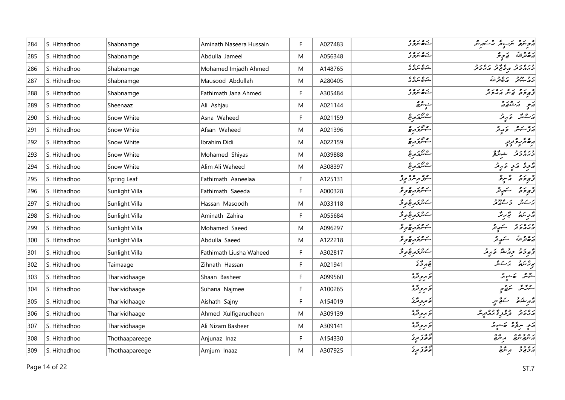| 284 | S. Hithadhoo | Shabnamge      | Aminath Naseera Hussain | F           | A027483 | شەھ سرچ ي                               | أزويتم يترجونني برسكريش                        |
|-----|--------------|----------------|-------------------------|-------------|---------|-----------------------------------------|------------------------------------------------|
| 285 | S. Hithadhoo | Shabnamge      | Abdulla Jameel          | M           | A056348 | ر ده بره ،<br>شو <i>ه مرو</i> د         | پرځ قرالله    توليځو                           |
| 286 | S. Hithadhoo | Shabnamge      | Mohamed Imjadh Ahmed    | M           | A148765 | ر ده بره ،<br>شو <i>ه مرو د</i>         | כממכב תכפב מסמכ<br>כממכב תכפב ממכב             |
| 287 | S. Hithadhoo | Shabnamge      | Mausood Abdullah        | M           | A280405 | ر <i>ە</i> رە ،<br>شەھ سرچ <sub>ك</sub> | رو ووو دەقرالله                                |
| 288 | S. Hithadhoo | Shabnamge      | Fathimath Jana Ahmed    | F           | A305484 | شەھ سرو ئ                               | أَوَّ وَحَدٍ حَمَدٌ الْأَمَدُ وَقَدْ           |
| 289 | S. Hithadhoo | Sheenaaz       | Ali Ashjau              | M           | A021144 | سُوٍسَّرِي                              | أتكتح أتكشفون                                  |
| 290 | S. Hithadhoo | Snow White     | Asna Waheed             | F           | A021159 | <u> موثور ۽</u>                         | برعيش عديقر                                    |
| 291 | S. Hithadhoo | Snow White     | Afsan Waheed            | M           | A021396 | <u>ه مړي</u> ه                          | أروب مشرع وبرقر                                |
| 292 | S. Hithadhoo | Snow White     | Ibrahim Didi            | M           | A022159 | مقدمة وه                                | ىر ھەتگەر 2 توپىر<br>س                         |
| 293 | S. Hithadhoo | Snow White     | Mohamed Shiyas          | M           | A039888 | $rac{1}{2}$                             | ورەر د شەھ<br><i>دىد</i> ەر شەھ                |
| 294 | S. Hithadhoo | Snow White     | Alim Ali Waheed         | M           | A308397 | <u>موتر و</u>                           | وحود وكمي وكبار                                |
| 295 | S. Hithadhoo | Spring Leaf    | Fathimath Aaneelaa      | F           | A125131 | <u>شۇر بىر شكە ب</u> ېۋ                 | ۇيودۇ ئەبېر                                    |
| 296 | S. Hithadhoo | Sunlight Villa | Fathimath Saeeda        | $\mathsf F$ | A000328 | سەمىرى <i>ز م</i> وھ بو                 | قُهْ فِرَةً مُسَمَّدٍ مَّزَّ                   |
| 297 | S. Hithadhoo | Sunlight Villa | Hassan Masoodh          | M           | A033118 | سەمى <i>رىدى</i> ھ <sub>و</sub> ئە      | يركسكس وكسعهامز                                |
| 298 | S. Hithadhoo | Sunlight Villa | Aminath Zahira          | F           | A055684 | سەندى <sub>ر م</sub> ەھ بۇ ئى           | ومحر متمر ومحر برمتر                           |
| 299 | S. Hithadhoo | Sunlight Villa | Mohamed Saeed           | M           | A096297 | سە ئىرى <i>خ مەھۋى</i> گە               | ورەرو سەر                                      |
| 300 | S. Hithadhoo | Sunlight Villa | Abdulla Saeed           | M           | A122218 | سەمىز ئەھ بۇ ئ <sup>ى</sup> ر           | أرەقراللە سىھەتىر                              |
| 301 | S. Hithadhoo | Sunlight Villa | Fathimath Liusha Waheed | F           | A302817 | سەھرىر ھ <sub>ى</sub> بۇ                | وتجوفهم ومرشة كالإمر                           |
| 302 | S. Hithadhoo | Taimaage       | Zihnath Hassan          | F           | A021941 | ر و د و د<br>جامر <del>و</del> د        | ىم ئەستىق ئەسكەنلە                             |
| 303 | S. Hithadhoo | Tharividhaage  | Shaan Basheer           | F           | A099560 |                                         | حدُّمَر صَحْمِرُ                               |
| 304 | S. Hithadhoo | Tharividhaage  | Suhana Najmee           | $\mathsf F$ | A100265 | ئەسرەپىرى<br>م                          | ر ديگر گرد د                                   |
| 305 | S. Hithadhoo | Tharividhaage  | Aishath Sajny           | F           | A154019 | ه مروتره<br>م                           | كەرىشكە سىق س                                  |
| 306 | S. Hithadhoo | Tharividhaage  | Ahmed Xulfigarudheen    | M           | A309139 | اءَ مرءِ وَرَ<br>اڪتر                   | رەر دەر دەر دەر بىر<br>مەردىن ئىرقرىق بىرمەيەش |
| 307 | S. Hithadhoo | Tharividhaage  | Ali Nizam Basheer       | M           | A309141 | <br> حوسره قری                          | أتمو سنتمى كالحوم                              |
| 308 | S. Hithadhoo | Thothaapareege | Anjunaz Inaz            | F           | A154330 | <br> حوځ تو موړ                         | بر و د و و مرجع<br>مرسم مرجع<br>ەسىنى          |
| 309 | S. Hithadhoo | Thothaapareege | Amjum Inaaz             | M           | A307925 | ان پر ر<br>  حو تجر مړي                 | ره وه<br>درویو د سرچ                           |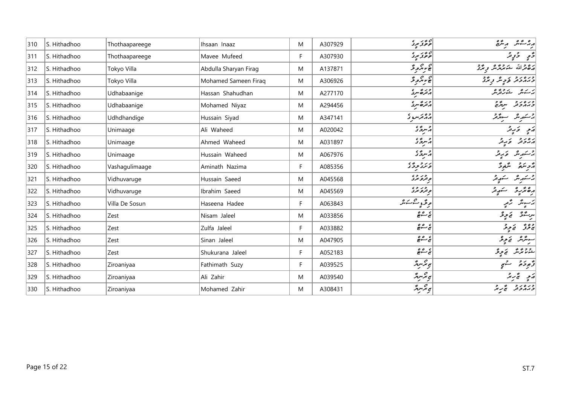| 310 | S. Hithadhoo | Thothaapareege | Ihsaan Inaaz          | M         | A307929 | ە پەرىپى<br>مۇقىرىپەر                  | ورمشر وسمع               |
|-----|--------------|----------------|-----------------------|-----------|---------|----------------------------------------|--------------------------|
| 311 | S. Hithadhoo | Thothaapareege | Mavee Mufeed          | F         | A307930 | ه پر ر<br>حوز نړی                      | د و و د و م              |
| 312 | S. Hithadhoo | Tokyo Villa    | Abdulla Sharyan Firag | M         | A137871 | ە بەرگە ئە                             | رەقمەللە ھەمدىرىك ويتر   |
| 313 | S. Hithadhoo | Tokyo Villa    | Mohamed Sameen Firaq  | M         | A306926 | ە يەرگە بۇ ئە                          | ورەرد قرح مر رىگە        |
| 314 | S. Hithadhoo | Udhabaanige    | Hassan Shahudhan      | M         | A277170 | 7 تەرىپە بىرى<br>مەنبرى <i>ڭ س</i> ىكە | پرستمبر سے بے شریعر      |
| 315 | S. Hithadhoo | Udhabaanige    | Mohamed Niyaz         | M         | A294456 | <br> ړئرځ سره                          | בנפנד תוצב               |
| 316 | S. Hithadhoo | Udhdhandige    | Hussain Siyad         | M         | A347141 | <br> 2,2 تىرسى <sub> ئى</sub>          | بر کے مریر کے مسترقر     |
| 317 | S. Hithadhoo | Unimaage       | Ali Waheed            | ${\sf M}$ | A020042 | وحسره ي                                | أەسمج كالمياتىر          |
| 318 | S. Hithadhoo | Unimaage       | Ahmed Waheed          | M         | A031897 | پر سرچ ی                               | دەرو ئەيى                |
| 319 | S. Hithadhoo | Unimaage       | Hussain Waheed        | M         | A067976 | پر سرچ ی                               | رحم شهر مه تر تر         |
| 320 | S. Hithadhoo | Vashagulimaage | Aminath Nazima        | F         | A085356 | ر ر د و و و                            | أثر حر سنتمو حسن المتفرد |
| 321 | S. Hithadhoo | Vidhuvaruge    | Hussain Saeed         | M         | A045568 | و ر و ،<br>و ترو بر <sub>ک</sub>       | برسكه شركته وتر          |
| 322 | S. Hithadhoo | Vidhuvaruge    | Ibrahim Saeed         | M         | A045569 | و ر و ،<br>و ترو بر <sub>ک</sub>       | رەئمەر د<br>ستهرمتر      |
| 323 | S. Hithadhoo | Villa De Sosun | Haseena Hadee         | F         | A063843 | <sub>عر</sub> قر <sub>و</sub> سىئەسىر  | پرَسِيسٌ رَّمِرٍ         |
| 324 | S. Hithadhoo | Zest           | Nisam Jaleel          | M         | A033856 | ي ره ه<br>م                            | سرسەمەھ ئەموق            |
| 325 | S. Hithadhoo | Zest           | Zulfa Jaleel          | F         | A033882 | ۽ ر <u>م</u> و                         | جووٌ نے موِ تح           |
| 326 | S. Hithadhoo | Zest           | Sinan Jaleel          | ${\sf M}$ | A047905 | ي ره ه<br>م                            | سيترش الأموقى            |
| 327 | S. Hithadhoo | Zest           | Shukurana Jaleel      | F.        | A052183 | ي ره ه<br>م                            | شەرىمەش ئەمرى            |
| 328 | S. Hithadhoo | Ziroaniyaa     | Fathimath Suzy        | F.        | A039525 | <br>  تر سر سر پر                      | ا تو بر در<br>ا<br>ستمبي |
| 329 | S. Hithadhoo | Ziroaniyaa     | Ali Zahir             | M         | A039540 | ى<br>ئىر ئىر سرى <i>گ</i> ى            | أەسمجە ستى سرىتىلى       |
| 330 | S. Hithadhoo | Ziroaniyaa     | Mohamed Zahir         | M         | A308431 | بېرىگرىدىگە                            | دره د د ځ د ټر           |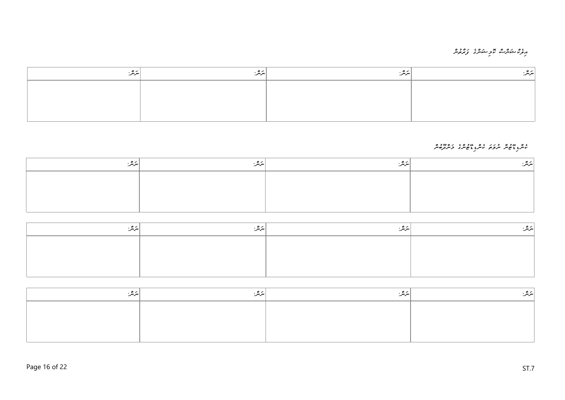## *w7qAn8m? sCw7mRo>u; wEw7mRw;sBo<*

| ' مرمر | 'يئرىثر: |
|--------|----------|
|        |          |
|        |          |
|        |          |

## *w7q9r@w7m> sCw7qHtFoFw7s; mAm=q7 w7qHtFoFw7s;*

| يئرمىش: | $^{\circ}$<br>. سر سر<br>$\cdot$ | $\circ$ $\sim$<br>-- | يئرمثر |
|---------|----------------------------------|----------------------|--------|
|         |                                  |                      |        |
|         |                                  |                      |        |
|         |                                  |                      |        |

| $\frac{\partial}{\partial x}$ | $^{\circ}$ | $\frac{2}{n}$ | $^{\circ}$<br>سرسر. |
|-------------------------------|------------|---------------|---------------------|
|                               |            |               |                     |
|                               |            |               |                     |
|                               |            |               |                     |

| ىرتىر: | 。<br>سر سر | .,<br>مرسر |
|--------|------------|------------|
|        |            |            |
|        |            |            |
|        |            |            |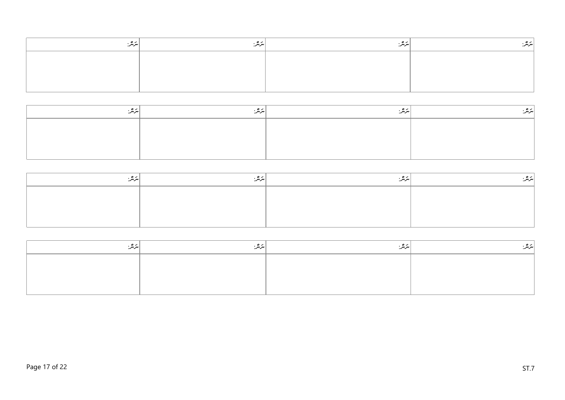| يره. | ο. | ا ير ه |  |
|------|----|--------|--|
|      |    |        |  |
|      |    |        |  |
|      |    |        |  |

| <sup>.</sup> سرسر. |  |
|--------------------|--|
|                    |  |
|                    |  |
|                    |  |

| ىئرىتر. | $\sim$ | ا بر هه. | لىرىش |
|---------|--------|----------|-------|
|         |        |          |       |
|         |        |          |       |
|         |        |          |       |

| 。<br>مرس. | $\overline{\phantom{a}}$<br>مر مىر | يتريثر |
|-----------|------------------------------------|--------|
|           |                                    |        |
|           |                                    |        |
|           |                                    |        |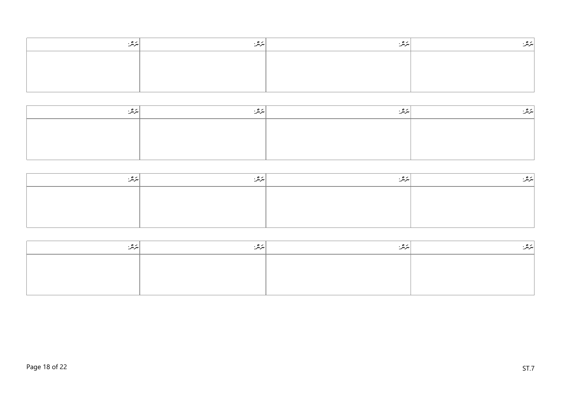| ير هو . | $\overline{\phantom{a}}$ | يرمر | اير هنه. |
|---------|--------------------------|------|----------|
|         |                          |      |          |
|         |                          |      |          |
|         |                          |      |          |

| ىر تىر: | $\circ$ $\sim$<br>" سرسر . | يبرحه | o . |
|---------|----------------------------|-------|-----|
|         |                            |       |     |
|         |                            |       |     |
|         |                            |       |     |

| انترنثر: | ر ه |  |
|----------|-----|--|
|          |     |  |
|          |     |  |
|          |     |  |

|  | . ه |
|--|-----|
|  |     |
|  |     |
|  |     |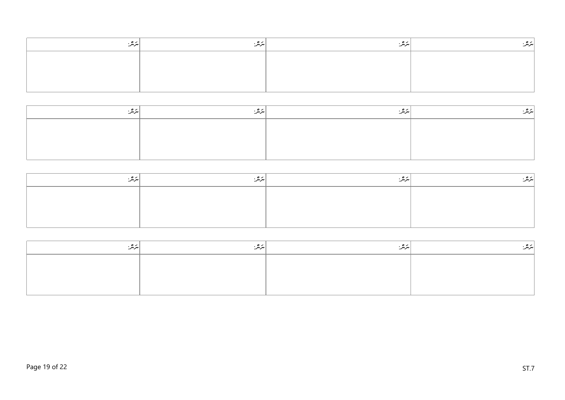| ير هو . | $\overline{\phantom{a}}$ | يرمر | اير هنه. |
|---------|--------------------------|------|----------|
|         |                          |      |          |
|         |                          |      |          |
|         |                          |      |          |

| ىر تىر: | $\circ$ $\sim$<br>" سرسر . | يبرحه | o . |
|---------|----------------------------|-------|-----|
|         |                            |       |     |
|         |                            |       |     |
|         |                            |       |     |

| انترنثر: | ر ه |  |
|----------|-----|--|
|          |     |  |
|          |     |  |
|          |     |  |

|  | . ه |
|--|-----|
|  |     |
|  |     |
|  |     |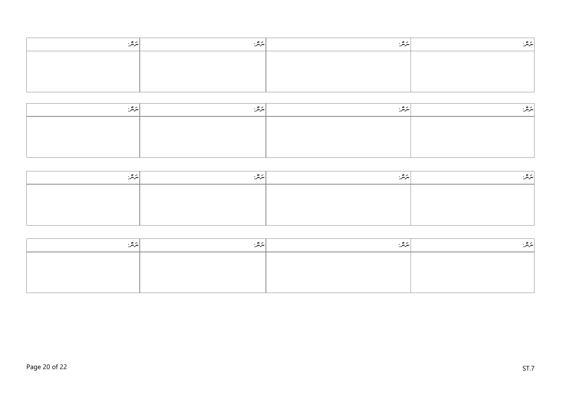| $\cdot$ | ο. | $\frac{\circ}{\cdot}$ | $\sim$<br>سرسر |
|---------|----|-----------------------|----------------|
|         |    |                       |                |
|         |    |                       |                |
|         |    |                       |                |

| يريثن | ' سرسر . |  |
|-------|----------|--|
|       |          |  |
|       |          |  |
|       |          |  |

| بر ه | 。 | $\overline{\phantom{0}}$<br>َ سومس. |  |
|------|---|-------------------------------------|--|
|      |   |                                     |  |
|      |   |                                     |  |
|      |   |                                     |  |

| ىئرىشر: | $^{\circ}$<br>يسمر مسمد. | ابترىش: | $^{\circ}$<br>سرسر |
|---------|--------------------------|---------|--------------------|
|         |                          |         |                    |
|         |                          |         |                    |
|         |                          |         |                    |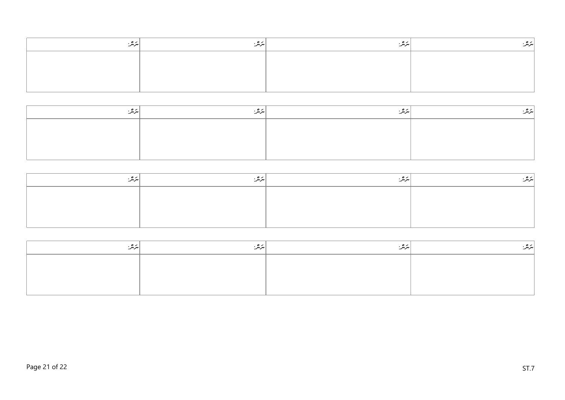| ير هو . | $\overline{\phantom{a}}$ | يرمر | اير هنه. |
|---------|--------------------------|------|----------|
|         |                          |      |          |
|         |                          |      |          |
|         |                          |      |          |

| ىر تىر: | $\circ$ $\sim$<br>" سرسر . | يبرحه | o . |
|---------|----------------------------|-------|-----|
|         |                            |       |     |
|         |                            |       |     |
|         |                            |       |     |

| 'تترنثر: | 。<br>,,,, |  |
|----------|-----------|--|
|          |           |  |
|          |           |  |
|          |           |  |

|  | . ه |
|--|-----|
|  |     |
|  |     |
|  |     |